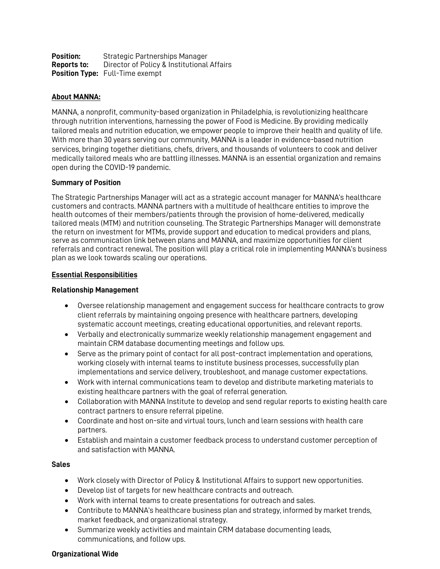| Position:   | <b>Strategic Partnerships Manager</b>      |
|-------------|--------------------------------------------|
| Reports to: | Director of Policy & Institutional Affairs |
|             | <b>Position Type:</b> Full-Time exempt     |

# **About MANNA:**

MANNA, a nonprofit, community-based organization in Philadelphia, is revolutionizing healthcare through nutrition interventions, harnessing the power of Food is Medicine. By providing medically tailored meals and nutrition education, we empower people to improve their health and quality of life. With more than 30 years serving our community, MANNA is a leader in evidence-based nutrition services, bringing together dietitians, chefs, drivers, and thousands of volunteers to cook and deliver medically tailored meals who are battling illnesses. MANNA is an essential organization and remains open during the COVID-19 pandemic.

#### **Summary of Position**

The Strategic Partnerships Manager will act as a strategic account manager for MANNA's healthcare customers and contracts. MANNA partners with a multitude of healthcare entities to improve the health outcomes of their members/patients through the provision of home-delivered, medically tailored meals (MTM) and nutrition counseling. The Strategic Partnerships Manager will demonstrate the return on investment for MTMs, provide support and education to medical providers and plans, serve as communication link between plans and MANNA, and maximize opportunities for client referrals and contract renewal. The position will play a critical role in implementing MANNA's business plan as we look towards scaling our operations.

## **Essential Responsibilities**

## **Relationship Management**

- Oversee relationship management and engagement success for healthcare contracts to grow client referrals by maintaining ongoing presence with healthcare partners, developing systematic account meetings, creating educational opportunities, and relevant reports.
- Verbally and electronically summarize weekly relationship management engagement and maintain CRM database documenting meetings and follow ups.
- Serve as the primary point of contact for all post-contract implementation and operations, working closely with internal teams to institute business processes, successfully plan implementations and service delivery, troubleshoot, and manage customer expectations.
- Work with internal communications team to develop and distribute marketing materials to existing healthcare partners with the goal of referral generation.
- Collaboration with MANNA Institute to develop and send regular reports to existing health care contract partners to ensure referral pipeline.
- Coordinate and host on-site and virtual tours, lunch and learn sessions with health care partners.
- Establish and maintain a customer feedback process to understand customer perception of and satisfaction with MANNA.

#### **Sales**

- Work closely with Director of Policy & Institutional Affairs to support new opportunities.
- Develop list of targets for new healthcare contracts and outreach.
- Work with internal teams to create presentations for outreach and sales.
- Contribute to MANNA's healthcare business plan and strategy, informed by market trends, market feedback, and organizational strategy.
- Summarize weekly activities and maintain CRM database documenting leads, communications, and follow ups.

## **Organizational Wide**